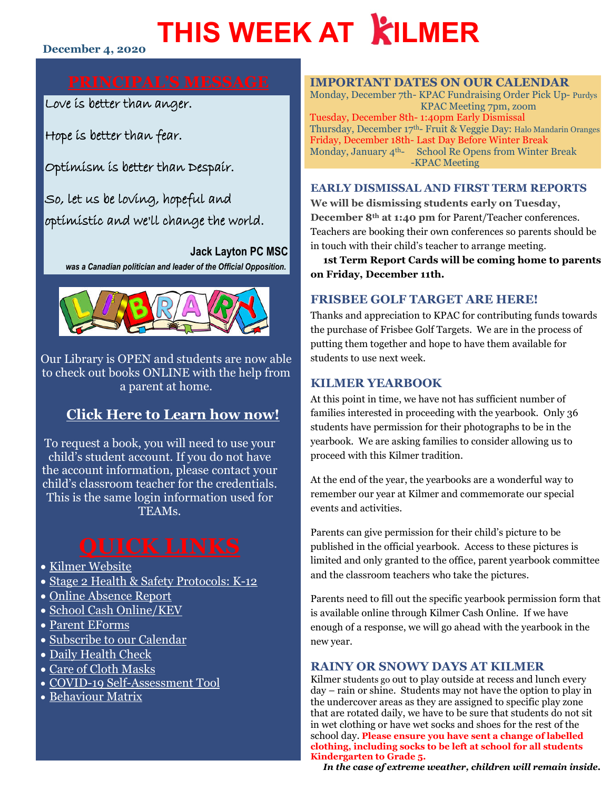# **THIS WEEK AT KILMER**

# **December 4, 2020**

Love is better than anger.

Hope is better than fear.

Optimism is better than Despair.

So, let us be loving, hopeful and optimistic and we'll change the world.

**Jack Layton PC MSC**  *was a Canadian politician and leader of the Official Opposition.*



Our Library is OPEN and students are now able to check out books ONLINE with the help from a parent at home.

# **[Click Here to Learn how now!](http://sway.office.com/AxLNflYqIpuJVmXq?ref=Link)**

To request a book, you will need to use your child's student account. If you do not have the account information, please contact your child's classroom teacher for the credentials. This is the same login information used for TEAMs.

- [Kilmer Website](http://www.sd43.bc.ca/school/kilmer/Pages/default.aspx#/=)
- Stage 2 Health [& Safety Protocols: K-12](https://www.sd43.bc.ca/FAQ/Documents/Health%20%20Safety%20Protocols%20for%20Schools%20Stage%202%20September%2023%202020;%20for%20Parents.pdf)
- [Online Absence Report](https://www2016.sd43.bc.ca/eforms/_layouts/15/FormServer.aspx?XsnLocation=http://www2016.sd43.bc.ca/eforms/AbsenceReportForm/Forms/template.xsn&OpenIn=browser&SaveLocation=http://www2016.sd43.bc.ca/eforms/AbsenceReportForm&Source=http://www2016.sd43.bc.ca/eforms/AbsenceReportForm)
- [School Cash Online/KEV](https://www.schoolcashonline.com/)
- [Parent EForms](http://www.sd43.bc.ca/school/kilmer/Parents/forms/Pages/default.aspx#/=)
- [Subscribe to our Calendar](http://www.sd43.bc.ca/school/kilmer/_LAYOUTS/15/scholantis/handlers/ical/event.ashx?List=0d97a795-418c-4bb3-a2e1-43959499908f&Redirect=true)
- [Daily Health Check](http://www.sd43.bc.ca/Lists/Documents/2020.09.18%20Daily%20Health%20Check%20Screen%20(English).pdf)
- [Care of Cloth Masks](https://www.sd43.bc.ca/school/kilmer/Documents/Care%20of%20cloth%20masks.pdf)
- [COVID-19 Self-Assessment Tool](https://bc.thrive.health/)
- [Behaviour Matrix](https://www.sd43.bc.ca/school/kilmer/About/COC/Documents/MATRIX%20OF%20LANGUAGE%20of%20Behavioural%20Expectations%20-%20KILMER%20Elementary%202020-21%20%20%208.5x11.pdf?csf=1)

**IMPORTANT DATES ON OUR CALENDAR**

Monday, December 7th- KPAC Fundraising Order Pick Up- Purdys KPAC Meeting 7pm, zoom Tuesday, December 8th- 1:40pm Early Dismissal Thursday, December 17th- Fruit & Veggie Day: Halo Mandarin Oranges Friday, December 18th- Last Day Before Winter Break Monday, January 4<sup>th</sup>- School Re Opens from Winter Break -KPAC Meeting

# **EARLY DISMISSAL AND FIRST TERM REPORTS**

**We will be dismissing students early on Tuesday, December 8th at 1:40 pm** for Parent/Teacher conferences. Teachers are booking their own conferences so parents should be in touch with their child's teacher to arrange meeting.

**1st Term Report Cards will be coming home to parents on Friday, December 11th.**

# **FRISBEE GOLF TARGET ARE HERE!**

Thanks and appreciation to KPAC for contributing funds towards the purchase of Frisbee Golf Targets. We are in the process of putting them together and hope to have them available for students to use next week.

# **KILMER YEARBOOK**

At this point in time, we have not has sufficient number of families interested in proceeding with the yearbook. Only 36 students have permission for their photographs to be in the yearbook. We are asking families to consider allowing us to proceed with this Kilmer tradition.

At the end of the year, the yearbooks are a wonderful way to remember our year at Kilmer and commemorate our special events and activities.

Parents can give permission for their child's picture to be published in the official yearbook. Access to these pictures is limited and only granted to the office, parent yearbook committee and the classroom teachers who take the pictures.

Parents need to fill out the specific yearbook permission form that is available online through Kilmer Cash Online. If we have enough of a response, we will go ahead with the yearbook in the new year.

# **RAINY OR SNOWY DAYS AT KILMER**

Kilmer students go out to play outside at recess and lunch every day – rain or shine. Students may not have the option to play in the undercover areas as they are assigned to specific play zone that are rotated daily, we have to be sure that students do not sit in wet clothing or have wet socks and shoes for the rest of the school day. **Please ensure you have sent a change of labelled clothing, including socks to be left at school for all students Kindergarten to Grade 5.** 

*In the case of extreme weather, children will remain inside.*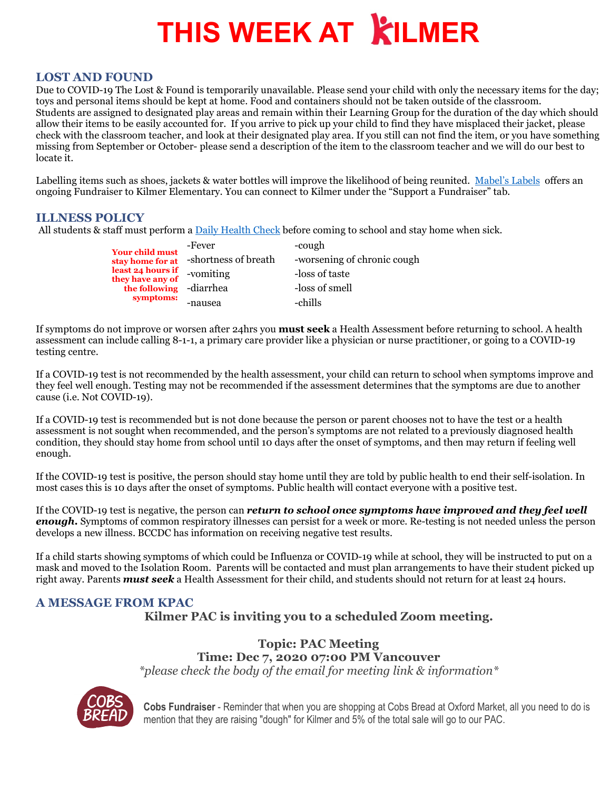# **THIS WEEK AT KILMER**

# **LOST AND FOUND**

Due to COVID-19 The Lost & Found is temporarily unavailable. Please send your child with only the necessary items for the day; toys and personal items should be kept at home. Food and containers should not be taken outside of the classroom. Students are assigned to designated play areas and remain within their Learning Group for the duration of the day which should allow their items to be easily accounted for. If you arrive to pick up your child to find they have misplaced their jacket, please check with the classroom teacher, and look at their designated play area. If you still can not find the item, or you have something missing from September or October- please send a description of the item to the classroom teacher and we will do our best to locate it.

Labelling items such as shoes, jackets & water bottles will improve the likelihood of being reunited. [Mabel's Labels](https://mabelslabels.ca/) offers an ongoing Fundraiser to Kilmer Elementary. You can connect to Kilmer under the "Support a Fundraiser" tab.

### **ILLNESS POLICY**

All students & staff must perform [a Daily Health Check](http://www.sd43.bc.ca/Lists/Documents/2020.09.18%20Daily%20Health%20Check%20Screen%20(English).pdf) before coming to school and stay home when sick.

| <b>Your child must</b>                | -Fever               | -cough                      |
|---------------------------------------|----------------------|-----------------------------|
| stay home for at                      | -shortness of breath | -worsening of chronic cough |
| least 24 hours if<br>they have any of | -vomiting            | -loss of taste              |
| the following -diarrhea               |                      | -loss of smell              |
| symptoms:                             | -nausea              | -chills                     |

If symptoms do not improve or worsen after 24hrs you **must seek** a Health Assessment before returning to school. A health assessment can include calling 8-1-1, a primary care provider like a physician or nurse practitioner, or going to a COVID-19 testing centre.

If a COVID-19 test is not recommended by the health assessment, your child can return to school when symptoms improve and they feel well enough. Testing may not be recommended if the assessment determines that the symptoms are due to another cause (i.e. Not COVID-19).

If a COVID-19 test is recommended but is not done because the person or parent chooses not to have the test or a health assessment is not sought when recommended, and the person's symptoms are not related to a previously diagnosed health condition, they should stay home from school until 10 days after the onset of symptoms, and then may return if feeling well enough.

If the COVID-19 test is positive, the person should stay home until they are told by public health to end their self-isolation. In most cases this is 10 days after the onset of symptoms. Public health will contact everyone with a positive test.

If the COVID-19 test is negative, the person can *return to school once symptoms have improved and they feel well enough.* Symptoms of common respiratory illnesses can persist for a week or more. Re-testing is not needed unless the person develops a new illness. BCCDC has information on receiving negative test results.

If a child starts showing symptoms of which could be Influenza or COVID-19 while at school, they will be instructed to put on a mask and moved to the Isolation Room. Parents will be contacted and must plan arrangements to have their student picked up right away. Parents *must seek* a Health Assessment for their child, and students should not return for at least 24 hours.

# **A MESSAGE FROM KPAC**

# **Kilmer PAC is inviting you to a scheduled Zoom meeting.**

## **Topic: PAC Meeting Time: Dec 7, 2020 07:00 PM Vancouver**

*\*please check the body of the email for meeting link & information\**



**Cobs Fundraiser** - Reminder that when you are shopping at Cobs Bread at Oxford Market, all you need to do is mention that they are raising "dough" for Kilmer and 5% of the total sale will go to our PAC.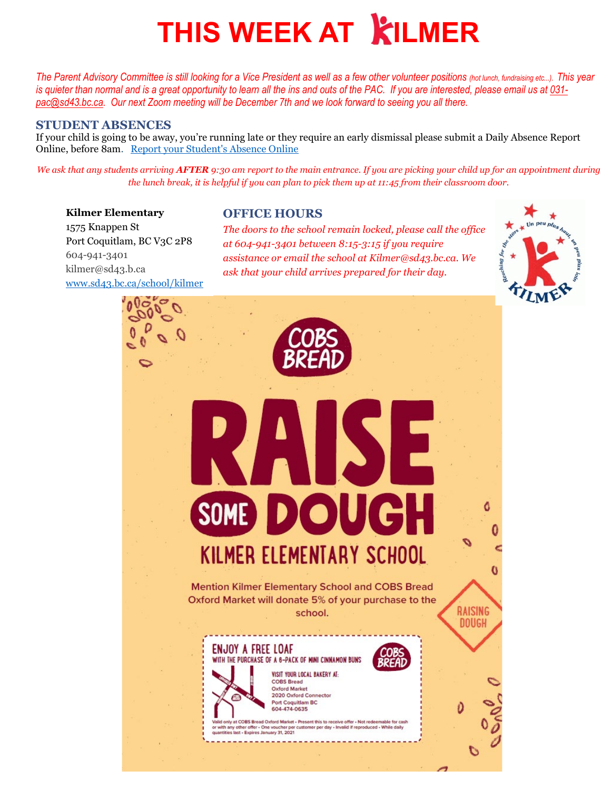# **THIS WEEK AT KILMER**

*The Parent Advisory Committee is still looking for a Vice President as well as a few other volunteer positions (hot lunch, fundraising etc...). This year is quieter than normal and is a great opportunity to learn all the ins and outs of the PAC. If you are interested, please email us at [031](mailto:031-pac@sd43.bc.ca) [pac@sd43.bc.ca.](mailto:031-pac@sd43.bc.ca) Our next Zoom meeting will be December 7th and we look forward to seeing you all there.*

## **STUDENT ABSENCES**

If your child is going to be away, you're running late or they require an early dismissal please submit a Daily Absence Report Online, before 8am. [Report your Student's Absence Online](https://www2016.sd43.bc.ca/eforms/_layouts/15/FormServer.aspx?XsnLocation=http://www2016.sd43.bc.ca/eforms/AbsenceReportForm/Forms/template.xsn&OpenIn=browser&SaveLocation=http://www2016.sd43.bc.ca/eforms/AbsenceReportForm&Source=http://www2016.sd43.bc.ca/eforms/AbsenceReportForm)

*We ask that any students arriving AFTER 9:30 am report to the main entrance. If you are picking your child up for an appointment during the lunch break, it is helpful if you can plan to pick them up at 11:45 from their classroom door.*

#### **Kilmer Elementary**

1575 Knappen St Port Coquitlam, BC V3C 2P8 604-941-3401 kilmer@sd43.b.ca [www.sd43.bc.ca/school/kilmer](http://www.sd43.bc.ca/school/kilmer)

# **OFFICE HOURS**

*The doors to the school remain locked, please call the office at 604-941-3401 between 8:15-3:15 if you require assistance or email the school at Kilmer@sd43.bc.ca. We ask that your child arrives prepared for their day.*



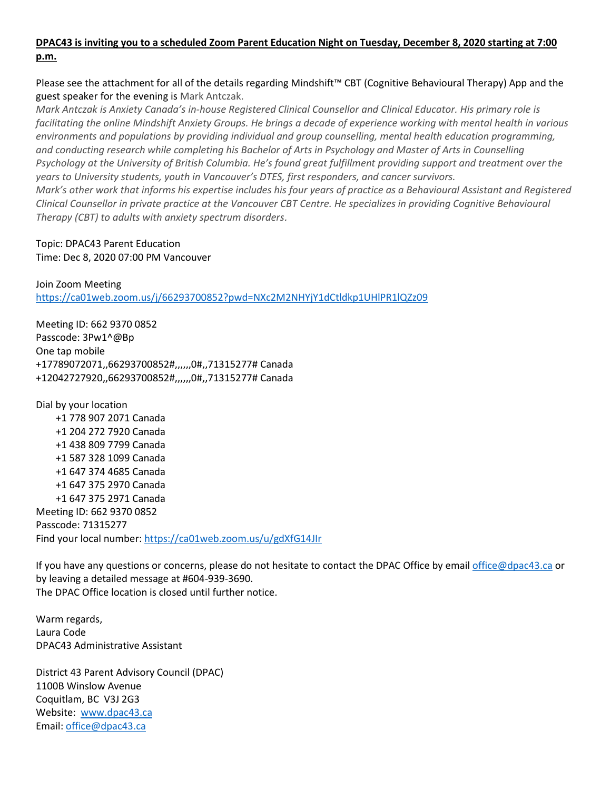# **DPAC43 is inviting you to a scheduled Zoom Parent Education Night on Tuesday, December 8, 2020 starting at 7:00 p.m.**

Please see the attachment for all of the details regarding Mindshift™ CBT (Cognitive Behavioural Therapy) App and the guest speaker for the evening is Mark Antczak.

*Mark Antczak is Anxiety Canada's in-house Registered Clinical Counsellor and Clinical Educator. His primary role is facilitating the online Mindshift Anxiety Groups. He brings a decade of experience working with mental health in various environments and populations by providing individual and group counselling, mental health education programming, and conducting research while completing his Bachelor of Arts in Psychology and Master of Arts in Counselling Psychology at the University of British Columbia. He's found great fulfillment providing support and treatment over the years to University students, youth in Vancouver's DTES, first responders, and cancer survivors. Mark's other work that informs his expertise includes his four years of practice as a Behavioural Assistant and Registered Clinical Counsellor in private practice at the Vancouver CBT Centre. He specializes in providing Cognitive Behavioural Therapy (CBT) to adults with anxiety spectrum disorders.*

# Topic: DPAC43 Parent Education Time: Dec 8, 2020 07:00 PM Vancouver

Join Zoom Meeting <https://ca01web.zoom.us/j/66293700852?pwd=NXc2M2NHYjY1dCtldkp1UHlPR1lQZz09>

Meeting ID: 662 9370 0852 Passcode: 3Pw1^@Bp One tap mobile +17789072071,,66293700852#,,,,,,0#,,71315277# Canada +12042727920,,66293700852#,,,,,,0#,,71315277# Canada

Dial by your location +1 778 907 2071 Canada +1 204 272 7920 Canada +1 438 809 7799 Canada +1 587 328 1099 Canada +1 647 374 4685 Canada +1 647 375 2970 Canada +1 647 375 2971 Canada Meeting ID: 662 9370 0852 Passcode: 71315277 Find your local number[: https://ca01web.zoom.us/u/gdXfG14JIr](https://ca01web.zoom.us/u/gdXfG14JIr)

If you have any questions or concerns, please do not hesitate to contact the DPAC Office by emai[l office@dpac43.ca](mailto:office@dpac43.ca) or by leaving a detailed message at #604-939-3690. The DPAC Office location is closed until further notice.

Warm regards, Laura Code DPAC43 Administrative Assistant

District 43 Parent Advisory Council (DPAC) 1100B Winslow Avenue Coquitlam, BC V3J 2G3 Website: [www.dpac43.ca](http://www.dpac43.ca/) Email: [office@dpac43.ca](mailto:office@dpac43.ca)